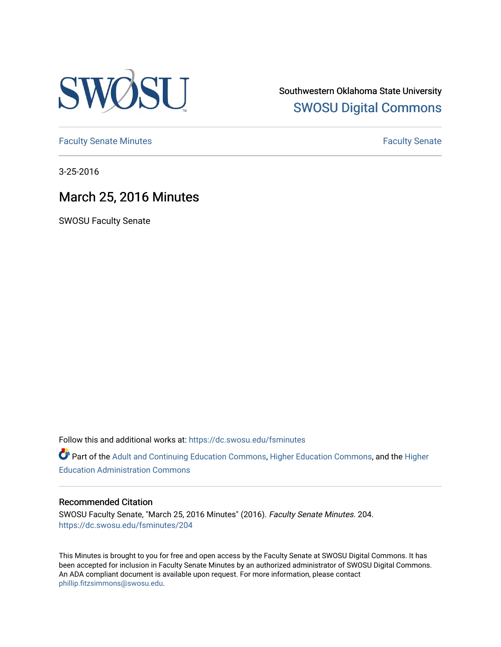

Southwestern Oklahoma State University [SWOSU Digital Commons](https://dc.swosu.edu/) 

[Faculty Senate Minutes](https://dc.swosu.edu/fsminutes) **Faculty** Senate Minutes

3-25-2016

# March 25, 2016 Minutes

SWOSU Faculty Senate

Follow this and additional works at: [https://dc.swosu.edu/fsminutes](https://dc.swosu.edu/fsminutes?utm_source=dc.swosu.edu%2Ffsminutes%2F204&utm_medium=PDF&utm_campaign=PDFCoverPages) 

Part of the [Adult and Continuing Education Commons,](http://network.bepress.com/hgg/discipline/1375?utm_source=dc.swosu.edu%2Ffsminutes%2F204&utm_medium=PDF&utm_campaign=PDFCoverPages) [Higher Education Commons,](http://network.bepress.com/hgg/discipline/1245?utm_source=dc.swosu.edu%2Ffsminutes%2F204&utm_medium=PDF&utm_campaign=PDFCoverPages) and the [Higher](http://network.bepress.com/hgg/discipline/791?utm_source=dc.swosu.edu%2Ffsminutes%2F204&utm_medium=PDF&utm_campaign=PDFCoverPages) [Education Administration Commons](http://network.bepress.com/hgg/discipline/791?utm_source=dc.swosu.edu%2Ffsminutes%2F204&utm_medium=PDF&utm_campaign=PDFCoverPages) 

#### Recommended Citation

SWOSU Faculty Senate, "March 25, 2016 Minutes" (2016). Faculty Senate Minutes. 204. [https://dc.swosu.edu/fsminutes/204](https://dc.swosu.edu/fsminutes/204?utm_source=dc.swosu.edu%2Ffsminutes%2F204&utm_medium=PDF&utm_campaign=PDFCoverPages) 

This Minutes is brought to you for free and open access by the Faculty Senate at SWOSU Digital Commons. It has been accepted for inclusion in Faculty Senate Minutes by an authorized administrator of SWOSU Digital Commons. An ADA compliant document is available upon request. For more information, please contact [phillip.fitzsimmons@swosu.edu](mailto:phillip.fitzsimmons@swosu.edu).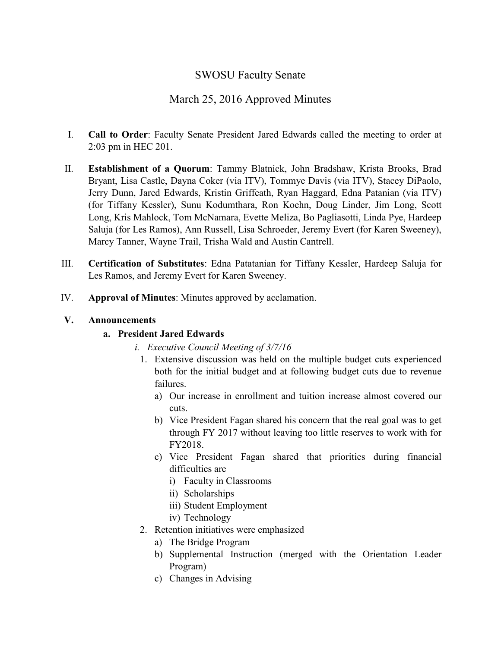## SWOSU Faculty Senate

## March 25, 2016 Approved Minutes

- I. **Call to Order**: Faculty Senate President Jared Edwards called the meeting to order at 2:03 pm in HEC 201.
- II. **Establishment of a Quorum**: Tammy Blatnick, John Bradshaw, Krista Brooks, Brad Bryant, Lisa Castle, Dayna Coker (via ITV), Tommye Davis (via ITV), Stacey DiPaolo, Jerry Dunn, Jared Edwards, Kristin Griffeath, Ryan Haggard, Edna Patanian (via ITV) (for Tiffany Kessler), Sunu Kodumthara, Ron Koehn, Doug Linder, Jim Long, Scott Long, Kris Mahlock, Tom McNamara, Evette Meliza, Bo Pagliasotti, Linda Pye, Hardeep Saluja (for Les Ramos), Ann Russell, Lisa Schroeder, Jeremy Evert (for Karen Sweeney), Marcy Tanner, Wayne Trail, Trisha Wald and Austin Cantrell.
- III. **Certification of Substitutes**: Edna Patatanian for Tiffany Kessler, Hardeep Saluja for Les Ramos, and Jeremy Evert for Karen Sweeney.
- IV. **Approval of Minutes**: Minutes approved by acclamation.

#### **V. Announcements**

#### **a. President Jared Edwards**

- *i. Executive Council Meeting of 3/7/16*
	- 1. Extensive discussion was held on the multiple budget cuts experienced both for the initial budget and at following budget cuts due to revenue failures.
		- a) Our increase in enrollment and tuition increase almost covered our cuts.
		- b) Vice President Fagan shared his concern that the real goal was to get through FY 2017 without leaving too little reserves to work with for FY2018.
		- c) Vice President Fagan shared that priorities during financial difficulties are
			- i) Faculty in Classrooms
			- ii) Scholarships
			- iii) Student Employment
			- iv) Technology
- 2. Retention initiatives were emphasized
	- a) The Bridge Program
	- b) Supplemental Instruction (merged with the Orientation Leader Program)
	- c) Changes in Advising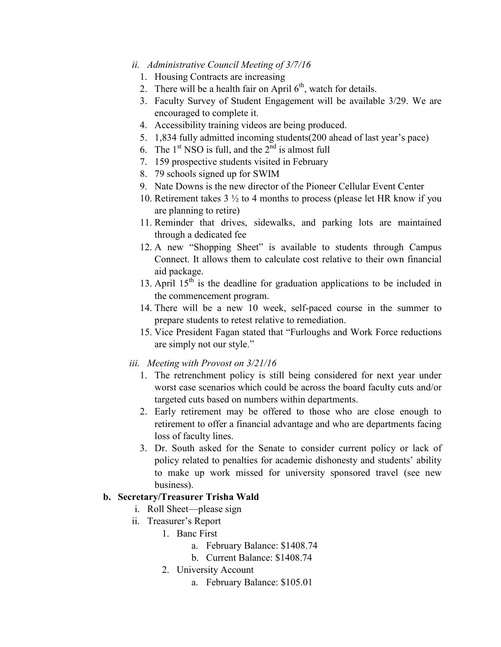#### *ii. Administrative Council Meeting of 3/7/16*

- 1. Housing Contracts are increasing
- 2. There will be a health fair on April  $6<sup>th</sup>$ , watch for details.
- 3. Faculty Survey of Student Engagement will be available 3/29. We are encouraged to complete it.
- 4. Accessibility training videos are being produced.
- 5. 1,834 fully admitted incoming students(200 ahead of last year's pace)
- 6. The  $1<sup>st</sup> NSO$  is full, and the  $2<sup>nd</sup>$  is almost full
- 7. 159 prospective students visited in February
- 8. 79 schools signed up for SWIM
- 9. Nate Downs is the new director of the Pioneer Cellular Event Center
- 10. Retirement takes 3 ½ to 4 months to process (please let HR know if you are planning to retire)
- 11. Reminder that drives, sidewalks, and parking lots are maintained through a dedicated fee
- 12. A new "Shopping Sheet" is available to students through Campus Connect. It allows them to calculate cost relative to their own financial aid package.
- 13. April  $15<sup>th</sup>$  is the deadline for graduation applications to be included in the commencement program.
- 14. There will be a new 10 week, self-paced course in the summer to prepare students to retest relative to remediation.
- 15. Vice President Fagan stated that "Furloughs and Work Force reductions are simply not our style."
- *iii. Meeting with Provost on 3/21/16*
	- 1. The retrenchment policy is still being considered for next year under worst case scenarios which could be across the board faculty cuts and/or targeted cuts based on numbers within departments.
	- 2. Early retirement may be offered to those who are close enough to retirement to offer a financial advantage and who are departments facing loss of faculty lines.
	- 3. Dr. South asked for the Senate to consider current policy or lack of policy related to penalties for academic dishonesty and students' ability to make up work missed for university sponsored travel (see new business).

#### **b. Secretary/Treasurer Trisha Wald**

- i. Roll Sheet—please sign
- ii. Treasurer's Report
	- 1. Banc First
		- a. February Balance: \$1408.74
		- b. Current Balance: \$1408.74
		- 2. University Account
			- a. February Balance: \$105.01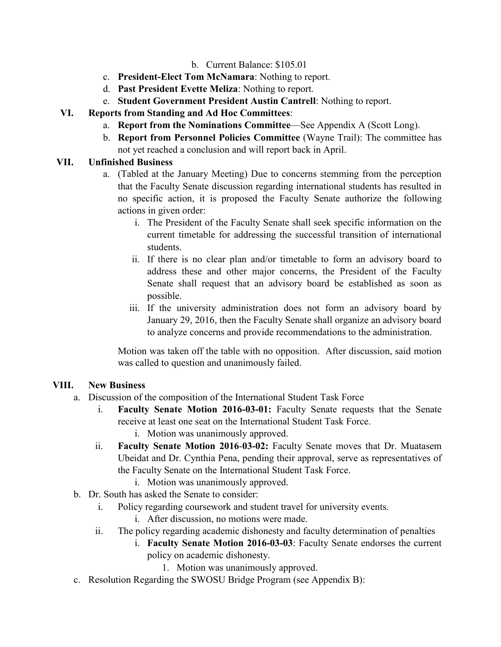#### b. Current Balance: \$105.01

- c. **President-Elect Tom McNamara**: Nothing to report.
- d. **Past President Evette Meliza**: Nothing to report.
- e. **Student Government President Austin Cantrell**: Nothing to report.

### **VI. Reports from Standing and Ad Hoc Committees**:

- a. **Report from the Nominations Committee**—See Appendix A (Scott Long).
- b. **Report from Personnel Policies Committee** (Wayne Trail): The committee has not yet reached a conclusion and will report back in April.

#### **VII. Unfinished Business**

- a. (Tabled at the January Meeting) Due to concerns stemming from the perception that the Faculty Senate discussion regarding international students has resulted in no specific action, it is proposed the Faculty Senate authorize the following actions in given order:
	- i. The President of the Faculty Senate shall seek specific information on the current timetable for addressing the successful transition of international students.
	- ii. If there is no clear plan and/or timetable to form an advisory board to address these and other major concerns, the President of the Faculty Senate shall request that an advisory board be established as soon as possible.
	- iii. If the university administration does not form an advisory board by January 29, 2016, then the Faculty Senate shall organize an advisory board to analyze concerns and provide recommendations to the administration.

Motion was taken off the table with no opposition. After discussion, said motion was called to question and unanimously failed.

#### **VIII. New Business**

- a. Discussion of the composition of the International Student Task Force
	- i. **Faculty Senate Motion 2016-03-01:** Faculty Senate requests that the Senate receive at least one seat on the International Student Task Force.
		- i. Motion was unanimously approved.
	- ii. **Faculty Senate Motion 2016**-**03-02:** Faculty Senate moves that Dr. Muatasem Ubeidat and Dr. Cynthia Pena, pending their approval, serve as representatives of the Faculty Senate on the International Student Task Force.
		- i. Motion was unanimously approved.
- b. Dr. South has asked the Senate to consider:
	- i. Policy regarding coursework and student travel for university events.
		- i. After discussion, no motions were made.
	- ii. The policy regarding academic dishonesty and faculty determination of penalties
		- i. **Faculty Senate Motion 2016-03-03**: Faculty Senate endorses the current policy on academic dishonesty.
			- 1. Motion was unanimously approved.
- c. Resolution Regarding the SWOSU Bridge Program (see Appendix B):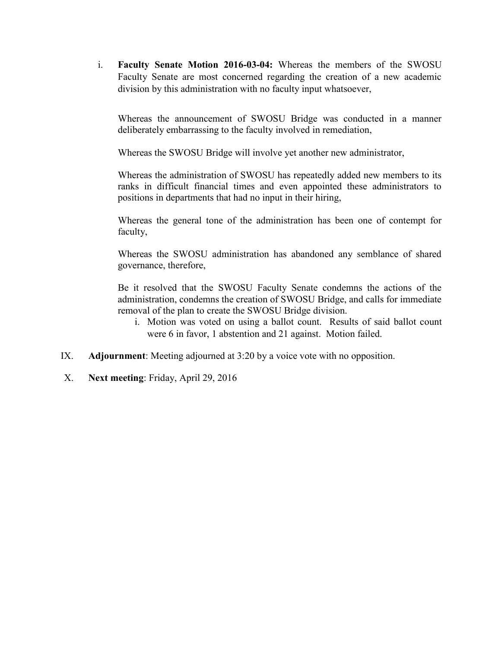i. **Faculty Senate Motion 2016-03-04:** Whereas the members of the SWOSU Faculty Senate are most concerned regarding the creation of a new academic division by this administration with no faculty input whatsoever,

Whereas the announcement of SWOSU Bridge was conducted in a manner deliberately embarrassing to the faculty involved in remediation,

Whereas the SWOSU Bridge will involve yet another new administrator,

Whereas the administration of SWOSU has repeatedly added new members to its ranks in difficult financial times and even appointed these administrators to positions in departments that had no input in their hiring,

Whereas the general tone of the administration has been one of contempt for faculty,

Whereas the SWOSU administration has abandoned any semblance of shared governance, therefore,

Be it resolved that the SWOSU Faculty Senate condemns the actions of the administration, condemns the creation of SWOSU Bridge, and calls for immediate removal of the plan to create the SWOSU Bridge division.

- i. Motion was voted on using a ballot count. Results of said ballot count were 6 in favor, 1 abstention and 21 against. Motion failed.
- IX. **Adjournment**: Meeting adjourned at 3:20 by a voice vote with no opposition.
- X. **Next meeting**: Friday, April 29, 2016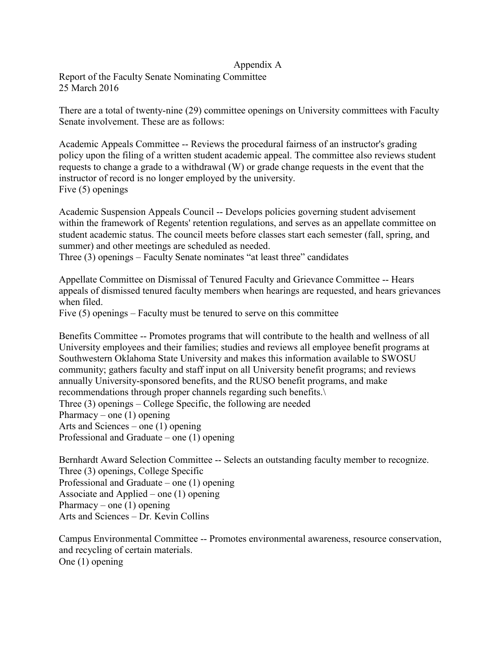#### Appendix A

Report of the Faculty Senate Nominating Committee 25 March 2016

There are a total of twenty-nine (29) committee openings on University committees with Faculty Senate involvement. These are as follows:

Academic Appeals Committee -- Reviews the procedural fairness of an instructor's grading policy upon the filing of a written student academic appeal. The committee also reviews student requests to change a grade to a withdrawal (W) or grade change requests in the event that the instructor of record is no longer employed by the university. Five (5) openings

Academic Suspension Appeals Council -- Develops policies governing student advisement within the framework of Regents' retention regulations, and serves as an appellate committee on student academic status. The council meets before classes start each semester (fall, spring, and summer) and other meetings are scheduled as needed.

Three (3) openings – Faculty Senate nominates "at least three" candidates

Appellate Committee on Dismissal of Tenured Faculty and Grievance Committee -- Hears appeals of dismissed tenured faculty members when hearings are requested, and hears grievances when filed.

Five (5) openings – Faculty must be tenured to serve on this committee

Benefits Committee -- Promotes programs that will contribute to the health and wellness of all University employees and their families; studies and reviews all employee benefit programs at Southwestern Oklahoma State University and makes this information available to SWOSU community; gathers faculty and staff input on all University benefit programs; and reviews annually University-sponsored benefits, and the RUSO benefit programs, and make recommendations through proper channels regarding such benefits.\ Three (3) openings – College Specific, the following are needed Pharmacy – one  $(1)$  opening Arts and Sciences – one (1) opening Professional and Graduate – one (1) opening

Bernhardt Award Selection Committee -- Selects an outstanding faculty member to recognize. Three (3) openings, College Specific Professional and Graduate – one (1) opening Associate and Applied – one (1) opening Pharmacy – one  $(1)$  opening Arts and Sciences – Dr. Kevin Collins

Campus Environmental Committee -- Promotes environmental awareness, resource conservation, and recycling of certain materials. One (1) opening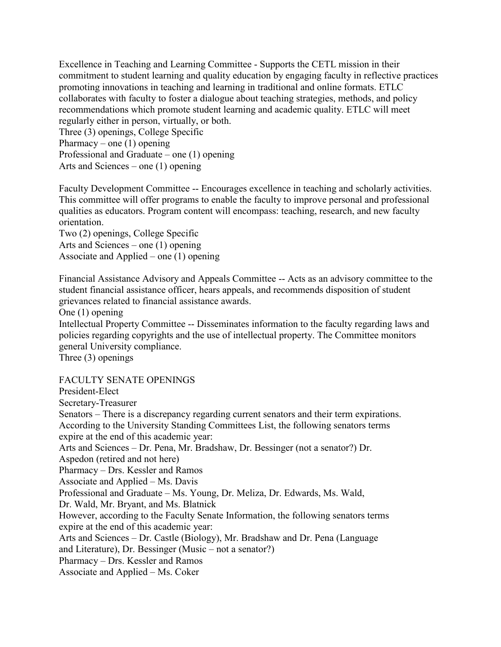Excellence in Teaching and Learning Committee - Supports the CETL mission in their commitment to student learning and quality education by engaging faculty in reflective practices promoting innovations in teaching and learning in traditional and online formats. ETLC collaborates with faculty to foster a dialogue about teaching strategies, methods, and policy recommendations which promote student learning and academic quality. ETLC will meet regularly either in person, virtually, or both.

Three (3) openings, College Specific Pharmacy – one  $(1)$  opening Professional and Graduate – one (1) opening Arts and Sciences – one (1) opening

Faculty Development Committee -- Encourages excellence in teaching and scholarly activities. This committee will offer programs to enable the faculty to improve personal and professional qualities as educators. Program content will encompass: teaching, research, and new faculty orientation.

Two (2) openings, College Specific Arts and Sciences – one (1) opening Associate and Applied – one (1) opening

Financial Assistance Advisory and Appeals Committee -- Acts as an advisory committee to the student financial assistance officer, hears appeals, and recommends disposition of student grievances related to financial assistance awards.

One (1) opening

Intellectual Property Committee -- Disseminates information to the faculty regarding laws and policies regarding copyrights and the use of intellectual property. The Committee monitors general University compliance.

Three (3) openings

FACULTY SENATE OPENINGS

President-Elect Secretary-Treasurer Senators – There is a discrepancy regarding current senators and their term expirations. According to the University Standing Committees List, the following senators terms expire at the end of this academic year: Arts and Sciences – Dr. Pena, Mr. Bradshaw, Dr. Bessinger (not a senator?) Dr. Aspedon (retired and not here) Pharmacy – Drs. Kessler and Ramos Associate and Applied – Ms. Davis Professional and Graduate – Ms. Young, Dr. Meliza, Dr. Edwards, Ms. Wald, Dr. Wald, Mr. Bryant, and Ms. Blatnick However, according to the Faculty Senate Information, the following senators terms expire at the end of this academic year: Arts and Sciences – Dr. Castle (Biology), Mr. Bradshaw and Dr. Pena (Language and Literature), Dr. Bessinger (Music – not a senator?) Pharmacy – Drs. Kessler and Ramos Associate and Applied – Ms. Coker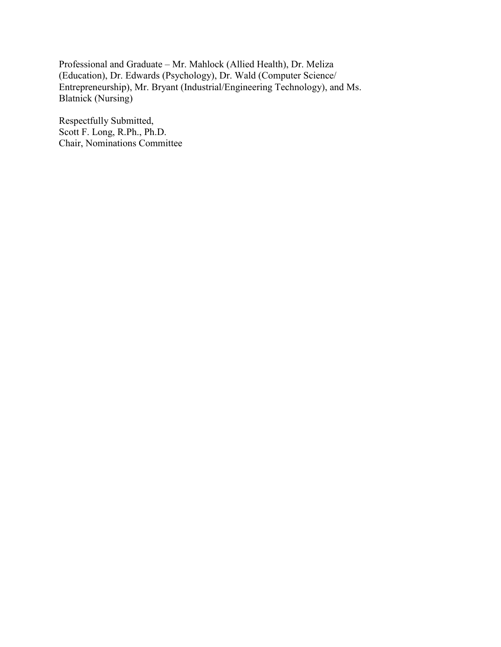Professional and Graduate – Mr. Mahlock (Allied Health), Dr. Meliza (Education), Dr. Edwards (Psychology), Dr. Wald (Computer Science/ Entrepreneurship), Mr. Bryant (Industrial/Engineering Technology), and Ms. Blatnick (Nursing)

Respectfully Submitted, Scott F. Long, R.Ph., Ph.D. Chair, Nominations Committee